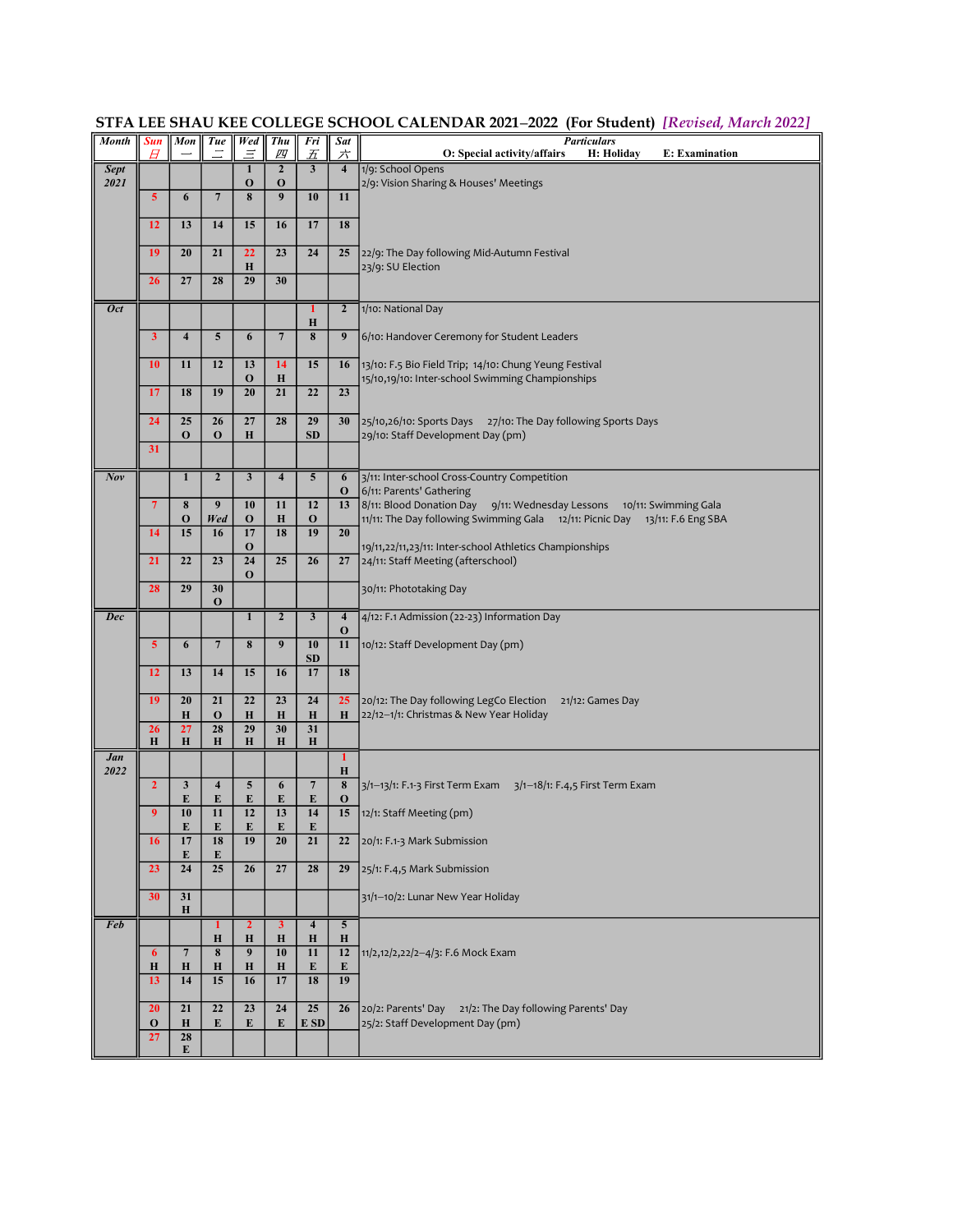| <b>Month</b> | <b>Sun</b><br>Ħ   | Mon                       | <b>Tue</b>                   | <b>Wed</b><br>Ξ                | <b>Thu</b><br>四               | Fri<br>五                  | Sat<br>六                               | <b>Particulars</b><br>E: Examination<br>O: Special activity/affairs<br>H: Holiday                  |
|--------------|-------------------|---------------------------|------------------------------|--------------------------------|-------------------------------|---------------------------|----------------------------------------|----------------------------------------------------------------------------------------------------|
| <b>Sept</b>  |                   |                           |                              | $\mathbf{1}$                   | $\overline{2}$                | $\overline{\mathbf{3}}$   | $\overline{4}$                         | 1/9: School Opens                                                                                  |
| 2021         | 5                 | 6                         | $\overline{7}$               | $\mathbf{o}$<br>8              | $\mathbf 0$<br>$\overline{9}$ | 10                        | 11                                     | 2/9: Vision Sharing & Houses' Meetings                                                             |
|              | 12                | 13                        | 14                           | 15                             | 16                            | 17                        | 18                                     |                                                                                                    |
|              |                   |                           |                              |                                |                               |                           |                                        |                                                                                                    |
|              | 19                | 20                        | 21                           | 22<br>H                        | 23                            | 24                        | 25                                     | 22/9: The Day following Mid-Autumn Festival<br>23/9: SU Election                                   |
|              | 26                | 27                        | 28                           | 29                             | 30                            |                           |                                        |                                                                                                    |
| <b>Oct</b>   |                   |                           |                              |                                |                               | 1<br>H                    | $\overline{2}$                         | 1/10: National Day                                                                                 |
|              | 3                 | $\overline{4}$            | 5                            | 6                              | $\overline{7}$                | 8                         | 9                                      | 6/10: Handover Ceremony for Student Leaders                                                        |
|              | 10                | 11                        | 12                           | 13                             | 14                            | 15                        | 16                                     | 13/10: F.5 Bio Field Trip; 14/10: Chung Yeung Festival                                             |
|              | 17                | 18                        | 19                           | $\mathbf 0$<br>20              | $\bf H$<br>21                 | 22                        | 23                                     | 15/10,19/10: Inter-school Swimming Championships                                                   |
|              | 24                | 25                        | 26                           | 27                             | 28                            | 29                        | 30                                     |                                                                                                    |
|              |                   | $\bf{0}$                  | $\mathbf 0$                  | H                              |                               | <b>SD</b>                 |                                        | 25/10,26/10: Sports Days 27/10: The Day following Sports Days<br>29/10: Staff Development Day (pm) |
|              | 31                |                           |                              |                                |                               |                           |                                        |                                                                                                    |
| Nov          |                   | $\mathbf{1}$              | $\overline{2}$               | $\overline{\mathbf{3}}$        | $\overline{4}$                | $\overline{5}$            | $6\overline{6}$<br>$\bf{0}$            | 3/11: Inter-school Cross-Country Competition<br>6/11: Parents' Gathering                           |
|              | $\overline{7}$    | 8                         | 9                            | 10                             | 11                            | 12                        | 13                                     | 8/11: Blood Donation Day 9/11: Wednesday Lessons 10/11: Swimming Gala                              |
|              | 14                | $\mathbf{o}$<br>15        | Wed<br>16                    | $\mathbf 0$<br>17              | $\bf H$<br>$\overline{18}$    | $\mathbf 0$<br>19         | 20                                     | 11/11: The Day following Swimming Gala 12/11: Picnic Day 13/11: F.6 Eng SBA                        |
|              | 21                | 22                        | 23                           | $\mathbf 0$<br>$\overline{24}$ | 25                            | 26                        | 27                                     | 19/11,22/11,23/11: Inter-school Athletics Championships<br>24/11: Staff Meeting (afterschool)      |
|              |                   |                           |                              | $\mathbf 0$                    |                               |                           |                                        |                                                                                                    |
|              | 28                | 29                        | 30<br>$\mathbf 0$            |                                |                               |                           |                                        | 30/11: Phototaking Day                                                                             |
| <b>Dec</b>   |                   |                           |                              | $\overline{1}$                 | $\overline{2}$                | $\overline{\mathbf{3}}$   | $\overline{4}$<br>$\mathbf 0$          | 4/12: F.1 Admission (22-23) Information Day                                                        |
|              | 5                 | 6                         | $\overline{7}$               | 8                              | 9                             | 10<br><b>SD</b>           | 11                                     | 10/12: Staff Development Day (pm)                                                                  |
|              | 12                | 13                        | 14                           | 15                             | 16                            | 17                        | 18                                     |                                                                                                    |
|              | 19                | 20                        | 21                           | 22                             | 23                            | 24                        | 25                                     | 20/12: The Day following LegCo Election<br>21/12: Games Day                                        |
|              | 26                | $\bf{H}$<br>27            | $\mathbf 0$<br>28            | H<br>29                        | $\bf H$<br>30                 | $\bf H$<br>31             | Н                                      | 22/12-1/1: Christmas & New Year Holiday                                                            |
|              | $\bf{H}$          | $\bf{H}$                  | H                            | $\bf H$                        | $\bf H$                       | $\mathbf H$               |                                        |                                                                                                    |
| Jan<br>2022  |                   |                           |                              |                                |                               |                           | $\overline{1}$<br>$\bf H$              |                                                                                                    |
|              | $\overline{2}$    | 3<br>E                    | $\overline{\mathbf{4}}$<br>E | 5<br>E                         | 6<br>E                        | $\overline{7}$<br>E       | $\overline{\mathbf{8}}$<br>$\mathbf 0$ | 3/1-13/1: F.1-3 First Term Exam 3/1-18/1: F.4,5 First Term Exam                                    |
|              | 9                 | 10                        | 11                           | 12                             | 13                            | 14                        | 15                                     | 12/1: Staff Meeting (pm)                                                                           |
|              | 16                | E<br>17                   | E<br>18                      | E<br>19                        | E<br>20                       | E<br>21                   | 22                                     | 20/1: F.1-3 Mark Submission                                                                        |
|              | 23                | E<br>24                   | E<br>25                      | 26                             | 27                            | 28                        | 29                                     | 25/1: F.4,5 Mark Submission                                                                        |
|              | 30                | 31                        |                              |                                |                               |                           |                                        | 31/1-10/2: Lunar New Year Holiday                                                                  |
|              |                   | $\bf H$                   |                              |                                |                               |                           |                                        |                                                                                                    |
| <b>Feb</b>   |                   |                           | 1<br>Н                       | $\overline{2}$<br>$\bf{H}$     | $\overline{\mathbf{3}}$<br>Н  | $\overline{4}$<br>$\bf H$ | $\overline{5}$<br>$\bf H$              |                                                                                                    |
|              | 6<br>Н            | $\overline{7}$<br>$\bf H$ | 8<br>Н                       | $\overline{9}$<br>$\bf{H}$     | 10<br>Н                       | $11\,$<br>E               | 12<br>E                                | 11/2,12/2,22/2-4/3: F.6 Mock Exam                                                                  |
|              | 13                | 14                        | 15                           | 16                             | 17                            | 18                        | 19                                     |                                                                                                    |
|              | 20                | 21                        | 22                           | 23                             | 24                            | 25                        | 26                                     | 20/2: Parents' Day 21/2: The Day following Parents' Day                                            |
|              | $\mathbf 0$<br>27 | $\bf H$<br>28             | E                            | E                              | E                             | E SD                      |                                        | 25/2: Staff Development Day (pm)                                                                   |
|              |                   | E                         |                              |                                |                               |                           |                                        |                                                                                                    |

STFA LEE SHAU KEE COLLEGE SCHOOL CALENDAR 2021-2022 (For Student) [Revised, March 2022]